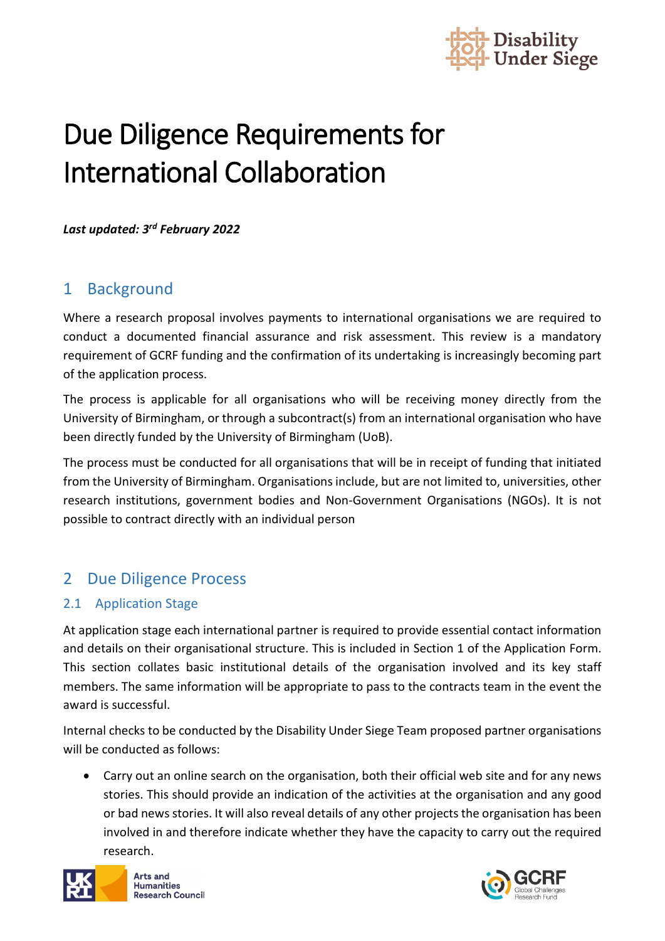

# Due Diligence Requirements for International Collaboration

*Last updated: 3rd February 2022*

## 1 Background

Where a research proposal involves payments to international organisations we are required to conduct a documented financial assurance and risk assessment. This review is a mandatory requirement of GCRF funding and the confirmation of its undertaking is increasingly becoming part of the application process.

The process is applicable for all organisations who will be receiving money directly from the University of Birmingham, or through a subcontract(s) from an international organisation who have been directly funded by the University of Birmingham (UoB).

The process must be conducted for all organisations that will be in receipt of funding that initiated from the University of Birmingham. Organisations include, but are not limited to, universities, other research institutions, government bodies and Non-Government Organisations (NGOs). It is not possible to contract directly with an individual person

## 2 Due Diligence Process

#### 2.1 Application Stage

At application stage each international partner is required to provide essential contact information and details on their organisational structure. This is included in Section 1 of the Application Form. This section collates basic institutional details of the organisation involved and its key staff members. The same information will be appropriate to pass to the contracts team in the event the award is successful.

Internal checks to be conducted by the Disability Under Siege Team proposed partner organisations will be conducted as follows:

• Carry out an online search on the organisation, both their official web site and for any news stories. This should provide an indication of the activities at the organisation and any good or bad news stories. It will also reveal details of any other projects the organisation has been involved in and therefore indicate whether they have the capacity to carry out the required research.



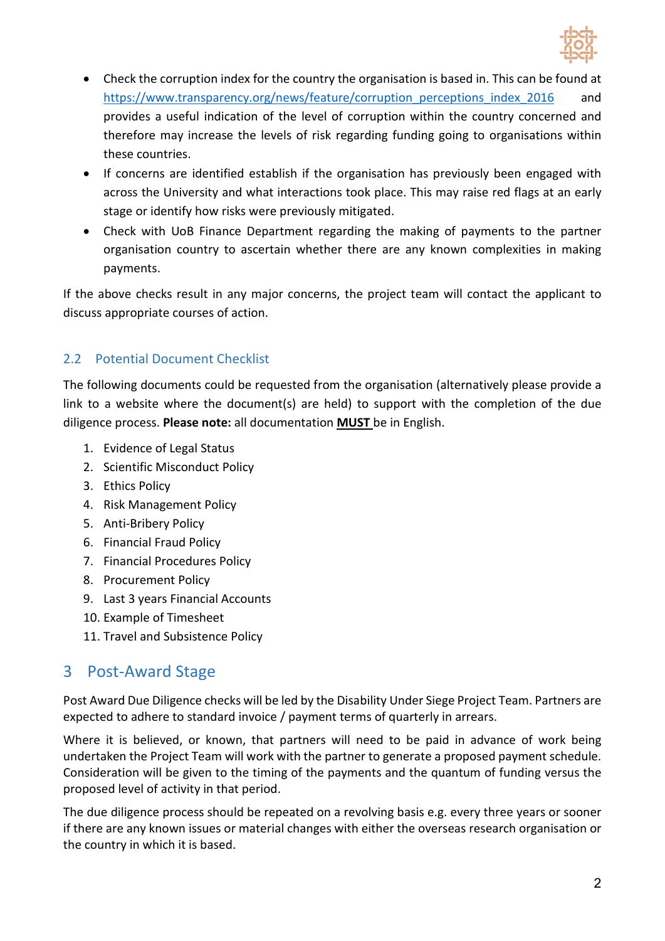

- Check the corruption index for the country the organisation is based in. This can be found at [https://www.transparency.org/news/feature/corruption\\_perceptions\\_index\\_2016](https://www.transparency.org/news/feature/corruption_perceptions_index_2016) and provides a useful indication of the level of corruption within the country concerned and therefore may increase the levels of risk regarding funding going to organisations within these countries.
- If concerns are identified establish if the organisation has previously been engaged with across the University and what interactions took place. This may raise red flags at an early stage or identify how risks were previously mitigated.
- Check with UoB Finance Department regarding the making of payments to the partner organisation country to ascertain whether there are any known complexities in making payments.

If the above checks result in any major concerns, the project team will contact the applicant to discuss appropriate courses of action.

### 2.2 Potential Document Checklist

The following documents could be requested from the organisation (alternatively please provide a link to a website where the document(s) are held) to support with the completion of the due diligence process. **Please note:** all documentation **MUST** be in English.

- 1. Evidence of Legal Status
- 2. Scientific Misconduct Policy
- 3. Ethics Policy
- 4. Risk Management Policy
- 5. Anti-Bribery Policy
- 6. Financial Fraud Policy
- 7. Financial Procedures Policy
- 8. Procurement Policy
- 9. Last 3 years Financial Accounts
- 10. Example of Timesheet
- 11. Travel and Subsistence Policy

## 3 Post-Award Stage

Post Award Due Diligence checks will be led by the Disability Under Siege Project Team. Partners are expected to adhere to standard invoice / payment terms of quarterly in arrears.

Where it is believed, or known, that partners will need to be paid in advance of work being undertaken the Project Team will work with the partner to generate a proposed payment schedule. Consideration will be given to the timing of the payments and the quantum of funding versus the proposed level of activity in that period.

The due diligence process should be repeated on a revolving basis e.g. every three years or sooner if there are any known issues or material changes with either the overseas research organisation or the country in which it is based.